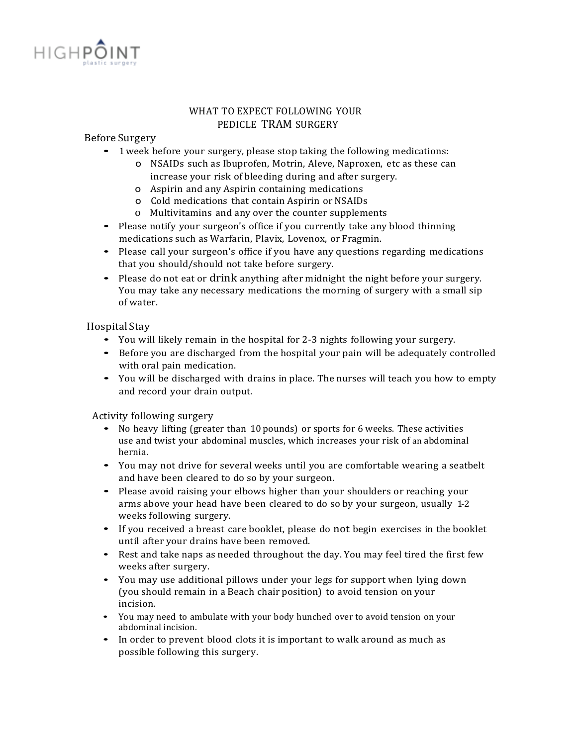

# WHAT TO EXPECT FOLLOWING YOUR PEDICLE TRAM SURGERY

## Before Surgery

- 1 week before your surgery, please stop taking the following medications:
	- o NSAIDs such as Ibuprofen, Motrin, Aleve, Naproxen, etc as these can increase your risk of bleeding during and after surgery.
	- o Aspirin and any Aspirin containing medications
	- o Cold medications that contain Aspirin or NSAIDs
	- o Multivitamins and any over the counter supplements
- Please notify your surgeon's office if you currently take any blood thinning medications such as Warfarin, Plavix, Lovenox, or Fragmin.
- Please call your surgeon's office if you have any questions regarding medications that you should/should not take before surgery.
- Please do not eat or drink anything after midnight the night before your surgery. You may take any necessary medications the morning of surgery with a small sip of water.

## Hospital Stay

- You will likely remain in the hospital for 2-3 nights following your surgery.
- Before you are discharged from the hospital your pain will be adequately controlled with oral pain medication.
- You will be discharged with drains in place. The nurses will teach you how to empty and record your drain output.

### Activity following surgery

- No heavy lifting (greater than <sup>10</sup> pounds) or sports for <sup>6</sup> weeks. These activities use and twist your abdominal muscles, which increases your risk of an abdominal hernia.
- You may not drive for several weeks until you are comfortable wearing a seatbelt and have been cleared to do so by your surgeon.
- Please avoid raising your elbows higher than your shoulders or reaching your arms above your head have been cleared to do so by your surgeon, usually 1-2 weeks following surgery.
- If you received a breast care booklet, please do not begin exercises in the booklet until after your drains have been removed.
- Rest and take naps as needed throughout the day. You may feel tired the first few weeks after surgery.
- You may use additional pillows under your legs for support when lying down (you should remain in a Beach chair position) to avoid tension on your incision.
- You may need to ambulate with your body hunched over to avoid tension on your abdominal incision.
- In order to prevent blood clots it is important to walk around as much as possible following this surgery.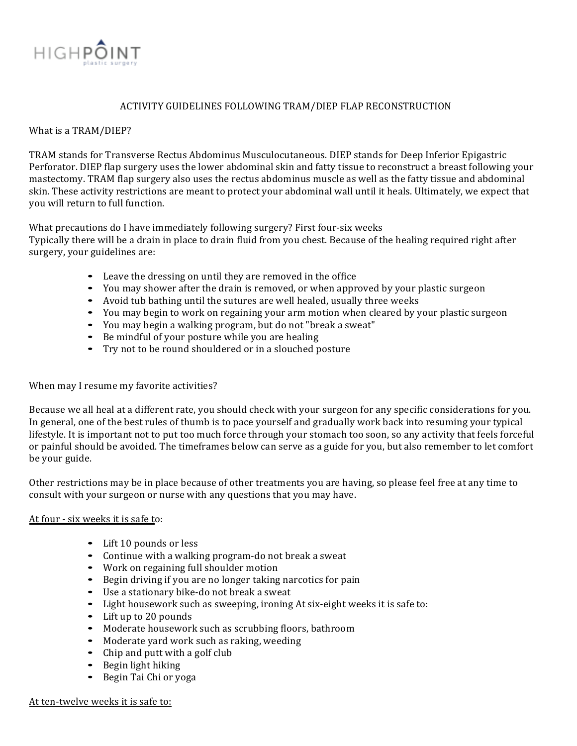

## ACTIVITY GUIDELINES FOLLOWING TRAM/DIEP FLAP RECONSTRUCTION

### What is a TRAM/DIEP?

TRAM stands for Transverse Rectus Abdominus Musculocutaneous. DIEP stands for Deep Inferior Epigastric Perforator. DIEP flap surgery uses the lower abdominal skin and fatty tissue to reconstruct a breast following your mastectomy. TRAM flap surgery also uses the rectus abdominus muscle as well as the fatty tissue and abdominal skin. These activity restrictions are meant to protect your abdominal wall until it heals. Ultimately, we expect that you will return to full function.

What precautions do I have immediately following surgery? First four-six weeks

Typically there will be a drain in place to drain fluid from you chest. Because of the healing required right after surgery, your guidelines are:

- Leave the dressing on until they are removed in the office
- You may shower after the drain is removed, or when approved by your plastic surgeon
- Avoid tub bathing until the sutures are well healed, usually three weeks
- You may begin to work on regaining your arm motion when cleared by your plastic surgeon
- You may begin a walking program, but do not "break a sweat"
- Be mindful of your posture while you are healing
- Try not to be round shouldered or in a slouched posture

### When may I resume my favorite activities?

Because we all heal at a different rate, you should check with your surgeon for any specific considerations for you. In general, one of the best rules of thumb is to pace yourself and gradually work back into resuming your typical lifestyle. It is important not to put too much force through your stomach too soon, so any activity that feels forceful or painful should be avoided. The timeframes below can serve as a guide for you, but also remember to let comfort be your guide.

Other restrictions may be in place because of other treatments you are having, so please feel free at any time to consult with your surgeon or nurse with any questions that you may have.

### At four - six weeks it is safe to:

- Lift 10 pounds or less
- Continue with a walking program-do not break a sweat
- Work on regaining full shoulder motion
- Begin driving if you are no longer taking narcotics for pain
- Use a stationary bike-do not break a sweat
- Light housework such as sweeping, ironing At six-eight weeks it is safe to:
- Lift up to 20 pounds
- Moderate housework such as scrubbing floors, bathroom
- Moderate yard work such as raking, weeding
- Chip and putt with a golf club
- Begin light hiking
- Begin Tai Chi or yoga

At ten-twelve weeks it is safe to: